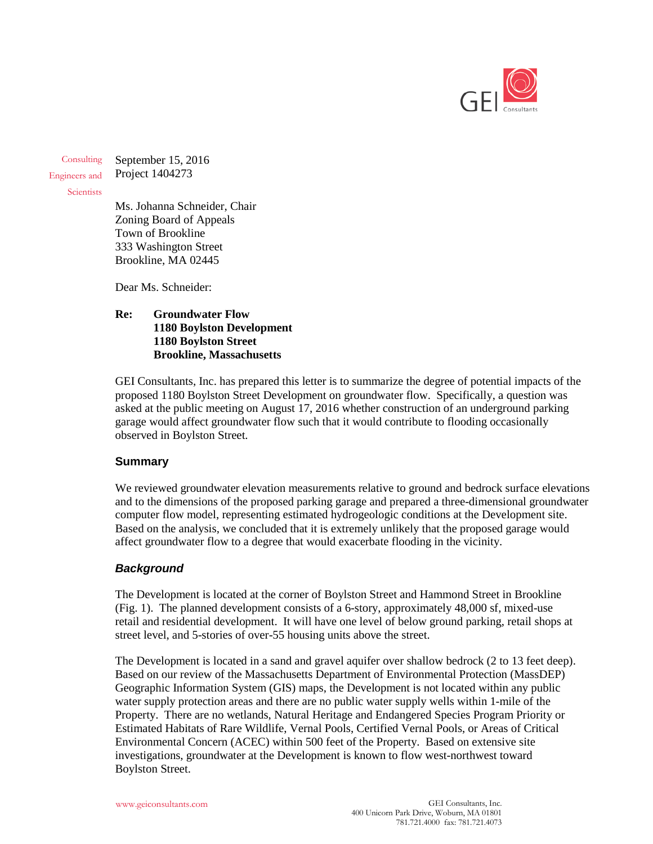

**Consulting** Engineers and September 15, 2016 Project 1404273

**Scientists** 

Ms. Johanna Schneider, Chair Zoning Board of Appeals Town of Brookline 333 Washington Street Brookline, MA 02445

Dear Ms. Schneider:

#### **Re: Groundwater Flow 1180 Boylston Development 1180 Boylston Street Brookline, Massachusetts**

GEI Consultants, Inc. has prepared this letter is to summarize the degree of potential impacts of the proposed 1180 Boylston Street Development on groundwater flow. Specifically, a question was asked at the public meeting on August 17, 2016 whether construction of an underground parking garage would affect groundwater flow such that it would contribute to flooding occasionally observed in Boylston Street.

## **Summary**

We reviewed groundwater elevation measurements relative to ground and bedrock surface elevations and to the dimensions of the proposed parking garage and prepared a three-dimensional groundwater computer flow model, representing estimated hydrogeologic conditions at the Development site. Based on the analysis, we concluded that it is extremely unlikely that the proposed garage would affect groundwater flow to a degree that would exacerbate flooding in the vicinity.

## *Background*

The Development is located at the corner of Boylston Street and Hammond Street in Brookline (Fig. 1). The planned development consists of a 6-story, approximately 48,000 sf, mixed-use retail and residential development. It will have one level of below ground parking, retail shops at street level, and 5-stories of over-55 housing units above the street.

The Development is located in a sand and gravel aquifer over shallow bedrock (2 to 13 feet deep). Based on our review of the Massachusetts Department of Environmental Protection (MassDEP) Geographic Information System (GIS) maps, the Development is not located within any public water supply protection areas and there are no public water supply wells within 1-mile of the Property. There are no wetlands, Natural Heritage and Endangered Species Program Priority or Estimated Habitats of Rare Wildlife, Vernal Pools, Certified Vernal Pools, or Areas of Critical Environmental Concern (ACEC) within 500 feet of the Property. Based on extensive site investigations, groundwater at the Development is known to flow west-northwest toward Boylston Street.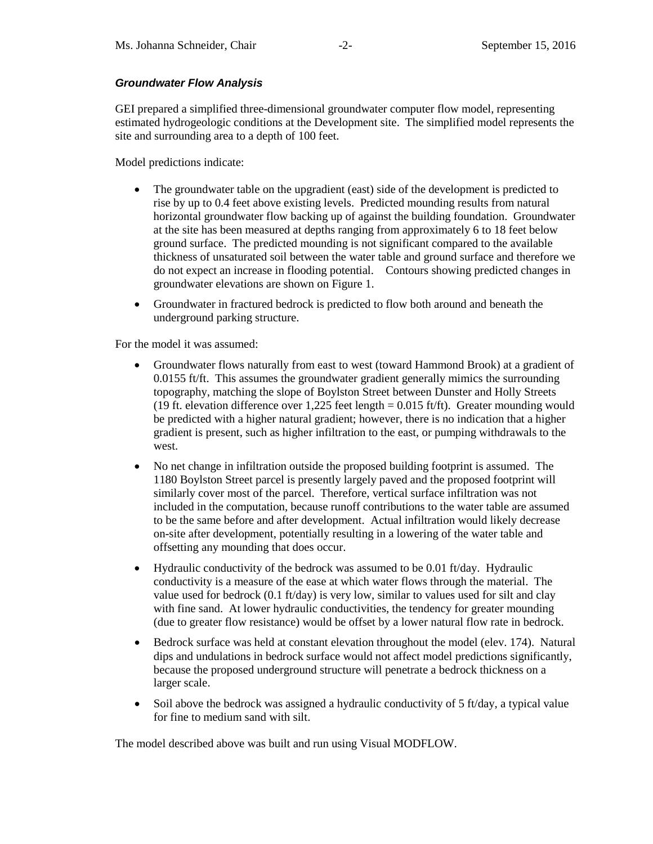## *Groundwater Flow Analysis*

GEI prepared a simplified three-dimensional groundwater computer flow model, representing estimated hydrogeologic conditions at the Development site. The simplified model represents the site and surrounding area to a depth of 100 feet.

Model predictions indicate:

- The groundwater table on the upgradient (east) side of the development is predicted to rise by up to 0.4 feet above existing levels. Predicted mounding results from natural horizontal groundwater flow backing up of against the building foundation. Groundwater at the site has been measured at depths ranging from approximately 6 to 18 feet below ground surface. The predicted mounding is not significant compared to the available thickness of unsaturated soil between the water table and ground surface and therefore we do not expect an increase in flooding potential. Contours showing predicted changes in groundwater elevations are shown on Figure 1.
- Groundwater in fractured bedrock is predicted to flow both around and beneath the underground parking structure.

For the model it was assumed:

- Groundwater flows naturally from east to west (toward Hammond Brook) at a gradient of 0.0155 ft/ft. This assumes the groundwater gradient generally mimics the surrounding topography, matching the slope of Boylston Street between Dunster and Holly Streets (19 ft. elevation difference over 1,225 feet length = 0.015 ft/ft). Greater mounding would be predicted with a higher natural gradient; however, there is no indication that a higher gradient is present, such as higher infiltration to the east, or pumping withdrawals to the west.
- No net change in infiltration outside the proposed building footprint is assumed. The 1180 Boylston Street parcel is presently largely paved and the proposed footprint will similarly cover most of the parcel. Therefore, vertical surface infiltration was not included in the computation, because runoff contributions to the water table are assumed to be the same before and after development. Actual infiltration would likely decrease on-site after development, potentially resulting in a lowering of the water table and offsetting any mounding that does occur.
- Hydraulic conductivity of the bedrock was assumed to be 0.01 ft/day. Hydraulic conductivity is a measure of the ease at which water flows through the material. The value used for bedrock (0.1 ft/day) is very low, similar to values used for silt and clay with fine sand. At lower hydraulic conductivities, the tendency for greater mounding (due to greater flow resistance) would be offset by a lower natural flow rate in bedrock.
- Bedrock surface was held at constant elevation throughout the model (elev. 174). Natural dips and undulations in bedrock surface would not affect model predictions significantly, because the proposed underground structure will penetrate a bedrock thickness on a larger scale.
- Soil above the bedrock was assigned a hydraulic conductivity of 5 ft/day, a typical value for fine to medium sand with silt.

The model described above was built and run using Visual MODFLOW.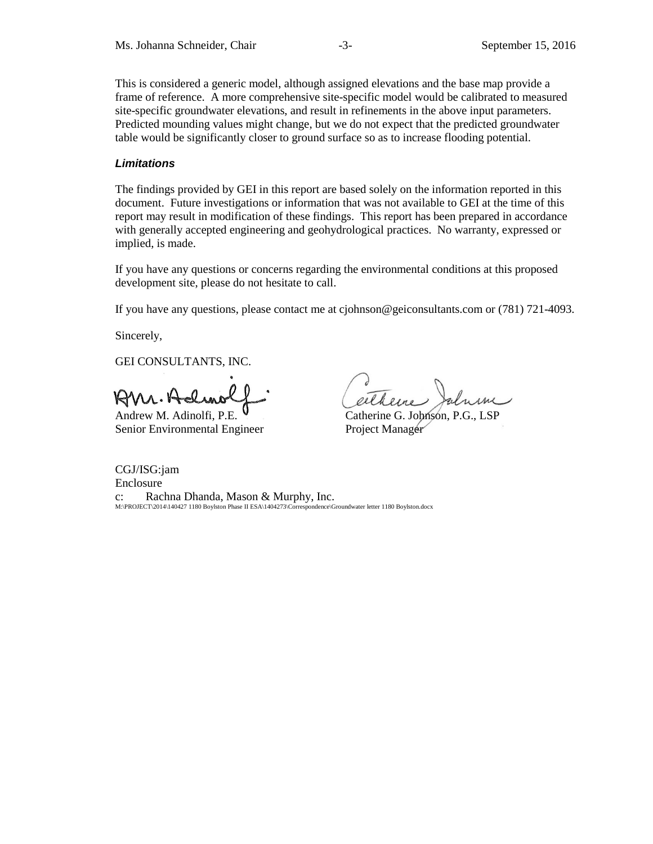This is considered a generic model, although assigned elevations and the base map provide a frame of reference. A more comprehensive site-specific model would be calibrated to measured site-specific groundwater elevations, and result in refinements in the above input parameters. Predicted mounding values might change, but we do not expect that the predicted groundwater table would be significantly closer to ground surface so as to increase flooding potential.

#### *Limitations*

The findings provided by GEI in this report are based solely on the information reported in this document. Future investigations or information that was not available to GEI at the time of this report may result in modification of these findings. This report has been prepared in accordance with generally accepted engineering and geohydrological practices. No warranty, expressed or implied, is made.

If you have any questions or concerns regarding the environmental conditions at this proposed development site, please do not hesitate to call.

If you have any questions, please contact me at cjohnson@geiconsultants.com or (781) 721-4093.

Sincerely,

GEI CONSULTANTS, INC.

 $RMA.A$ 

Senior Environmental Engineer Project Manager

Andrew M. Adinolfi, P.E.  $\vee$  Catherine G. Johnson, P.G., LSP

CGJ/ISG:jam Enclosure c: Rachna Dhanda, Mason & Murphy, Inc. M:\PROJECT\2014\140427 1180 Boylston Phase II ESA\1404273\Correspondence\Groundwater letter 1180 Boylston.docx